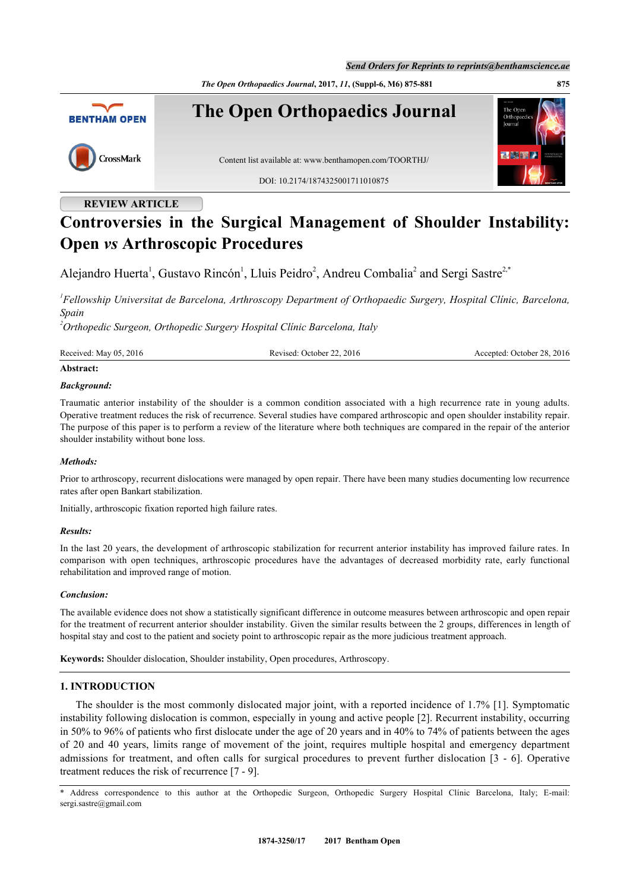*The Open Orthopaedics Journal***, 2017,** *11***, (Suppl-6, M6) 875-881 875**



## **REVIEW ARTICLE**

# **Controversies in the Surgical Management of Shoulder Instability: Open** *vs* **Arthroscopic Procedures**

Alejandro Huerta<sup>[1](#page-0-0)</sup>, Gustavo Rincón<sup>1</sup>, Lluis Peidro<sup>[2](#page-0-1)</sup>, Andreu Combalia<sup>2</sup> and Sergi Sastre<sup>2,[\\*](#page-0-2)</sup>

<span id="page-0-0"></span>*1 Fellowship Universitat de Barcelona, Arthroscopy Department of Orthopaedic Surgery, Hospital Clínic, Barcelona, Spain*

<span id="page-0-1"></span>*<sup>2</sup>Orthopedic Surgeon, Orthopedic Surgery Hospital Clínic Barcelona, Italy*

Received: May 05, 2016 Revised: October 22, 2016 Revised: October 22, 2016 Accepted: October 28, 2016

### **Abstract:**

### *Background:*

Traumatic anterior instability of the shoulder is a common condition associated with a high recurrence rate in young adults. Operative treatment reduces the risk of recurrence. Several studies have compared arthroscopic and open shoulder instability repair. The purpose of this paper is to perform a review of the literature where both techniques are compared in the repair of the anterior shoulder instability without bone loss.

### *Methods:*

Prior to arthroscopy, recurrent dislocations were managed by open repair. There have been many studies documenting low recurrence rates after open Bankart stabilization.

Initially, arthroscopic fixation reported high failure rates.

### *Results:*

In the last 20 years, the development of arthroscopic stabilization for recurrent anterior instability has improved failure rates. In comparison with open techniques, arthroscopic procedures have the advantages of decreased morbidity rate, early functional rehabilitation and improved range of motion.

### *Conclusion:*

The available evidence does not show a statistically significant difference in outcome measures between arthroscopic and open repair for the treatment of recurrent anterior shoulder instability. Given the similar results between the 2 groups, differences in length of hospital stay and cost to the patient and society point to arthroscopic repair as the more judicious treatment approach.

**Keywords:** Shoulder dislocation, Shoulder instability, Open procedures, Arthroscopy.

### **1. INTRODUCTION**

The shoulder is the most commonly dislocated major joint, with a reported incidence of 1.7% [[1](#page-3-0)]. Symptomatic instability following dislocation is common, especially in young and active people [[2\]](#page-3-1). Recurrent instability, occurring in 50% to 96% of patients who first dislocate under the age of 20 years and in 40% to 74% of patients between the ages of 20 and 40 years, limits range of movement of the joint, requires multiple hospital and emergency department admissions for treatment, and often calls for surgical procedures to prevent further dislocation[[3](#page-3-2) - [6](#page-4-0)]. Operative treatment reduces the risk of recurrence [\[7](#page-4-1) - [9](#page-4-2)].

<span id="page-0-2"></span>\* Address correspondence to this author at the Orthopedic Surgeon, Orthopedic Surgery Hospital Clínic Barcelona, Italy; E-mail: [sergi.sastre@gmail.com](mailto:sergi.sastre@gmail.com)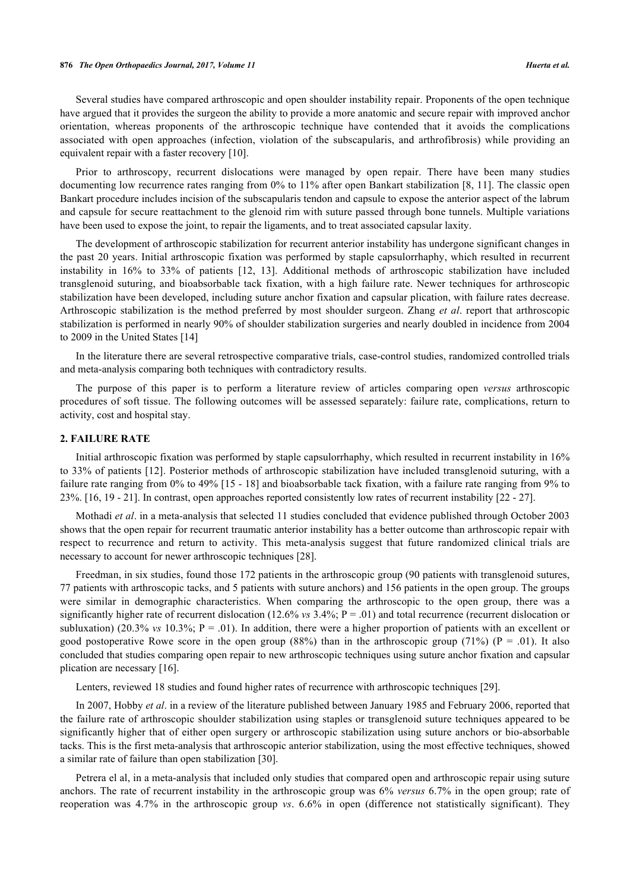### **876** *The Open Orthopaedics Journal, 2017, Volume 11 Huerta et al.*

Several studies have compared arthroscopic and open shoulder instability repair. Proponents of the open technique have argued that it provides the surgeon the ability to provide a more anatomic and secure repair with improved anchor orientation, whereas proponents of the arthroscopic technique have contended that it avoids the complications associated with open approaches (infection, violation of the subscapularis, and arthrofibrosis) while providing an equivalent repair with a faster recovery [\[10](#page-4-3)].

Prior to arthroscopy, recurrent dislocations were managed by open repair. There have been many studies documenting low recurrence rates ranging from 0% to 11% after open Bankart stabilization [\[8](#page-4-4), [11](#page-4-5)]. The classic open Bankart procedure includes incision of the subscapularis tendon and capsule to expose the anterior aspect of the labrum and capsule for secure reattachment to the glenoid rim with suture passed through bone tunnels. Multiple variations have been used to expose the joint, to repair the ligaments, and to treat associated capsular laxity.

The development of arthroscopic stabilization for recurrent anterior instability has undergone significant changes in the past 20 years. Initial arthroscopic fixation was performed by staple capsulorrhaphy, which resulted in recurrent instability in 16% to 33% of patients[[12,](#page-4-6) [13\]](#page-4-7). Additional methods of arthroscopic stabilization have included transglenoid suturing, and bioabsorbable tack fixation, with a high failure rate. Newer techniques for arthroscopic stabilization have been developed, including suture anchor fixation and capsular plication, with failure rates decrease. Arthroscopic stabilization is the method preferred by most shoulder surgeon. Zhang *et al*. report that arthroscopic stabilization is performed in nearly 90% of shoulder stabilization surgeries and nearly doubled in incidence from 2004 to 2009 in the United States [[14\]](#page-4-8)

In the literature there are several retrospective comparative trials, case-control studies, randomized controlled trials and meta-analysis comparing both techniques with contradictory results.

The purpose of this paper is to perform a literature review of articles comparing open *versus* arthroscopic procedures of soft tissue. The following outcomes will be assessed separately: failure rate, complications, return to activity, cost and hospital stay.

### **2. FAILURE RATE**

Initial arthroscopic fixation was performed by staple capsulorrhaphy, which resulted in recurrent instability in 16% to 33% of patients [[12\]](#page-4-6). Posterior methods of arthroscopic stabilization have included transglenoid suturing, with a failure rate ranging from 0% to 49% [\[15](#page-4-9) - [18\]](#page-4-10) and bioabsorbable tack fixation, with a failure rate ranging from 9% to 23%. [\[16](#page-4-11), [19](#page-4-12) - [21\]](#page-4-13). In contrast, open approaches reported consistently low rates of recurrent instability [\[22](#page-4-14) - [27](#page-5-0)].

Mothadi *et al*. in a meta-analysis that selected 11 studies concluded that evidence published through October 2003 shows that the open repair for recurrent traumatic anterior instability has a better outcome than arthroscopic repair with respect to recurrence and return to activity. This meta-analysis suggest that future randomized clinical trials are necessary to account for newer arthroscopic techniques [[28\]](#page-5-1).

Freedman, in six studies, found those 172 patients in the arthroscopic group (90 patients with transglenoid sutures, 77 patients with arthroscopic tacks, and 5 patients with suture anchors) and 156 patients in the open group. The groups were similar in demographic characteristics. When comparing the arthroscopic to the open group, there was a significantly higher rate of recurrent dislocation (12.6% *vs* 3.4%; P = .01) and total recurrence (recurrent dislocation or subluxation) (20.3% *vs* 10.3%;  $P = .01$ ). In addition, there were a higher proportion of patients with an excellent or good postoperative Rowe score in the open group (88%) than in the arthroscopic group (71%) (P = .01). It also concluded that studies comparing open repair to new arthroscopic techniques using suture anchor fixation and capsular plication are necessary [[16\]](#page-4-11).

Lenters, reviewed 18 studies and found higher rates of recurrence with arthroscopic techniques [\[29](#page-5-2)].

In 2007, Hobby *et al*. in a review of the literature published between January 1985 and February 2006, reported that the failure rate of arthroscopic shoulder stabilization using staples or transglenoid suture techniques appeared to be significantly higher that of either open surgery or arthroscopic stabilization using suture anchors or bio-absorbable tacks. This is the first meta-analysis that arthroscopic anterior stabilization, using the most effective techniques, showed a similar rate of failure than open stabilization [\[30](#page-5-3)].

Petrera el al, in a meta-analysis that included only studies that compared open and arthroscopic repair using suture anchors. The rate of recurrent instability in the arthroscopic group was 6% *versus* 6.7% in the open group; rate of reoperation was 4.7% in the arthroscopic group *vs*. 6.6% in open (difference not statistically significant). They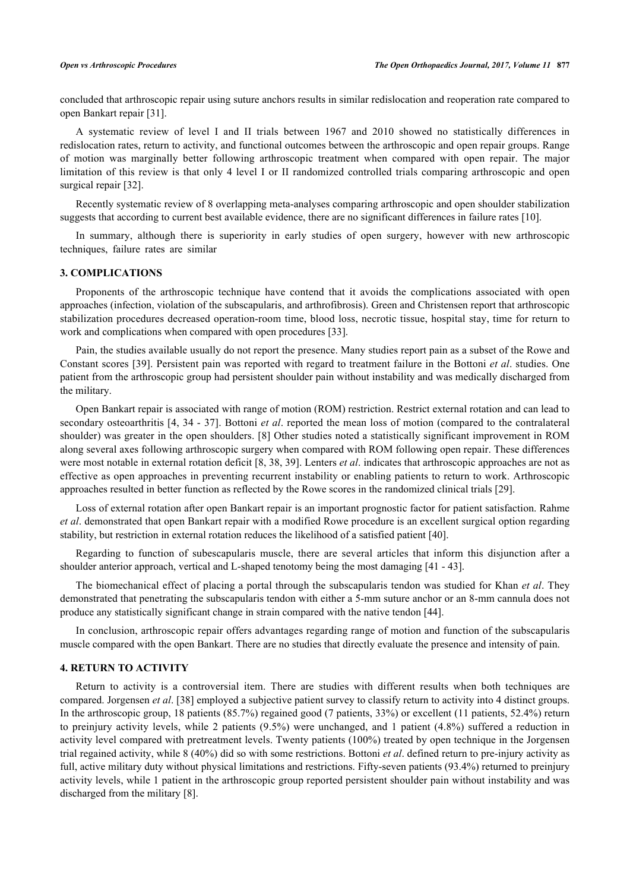concluded that arthroscopic repair using suture anchors results in similar redislocation and reoperation rate compared to open Bankart repair [[31\]](#page-5-4).

A systematic review of level I and II trials between 1967 and 2010 showed no statistically differences in redislocation rates, return to activity, and functional outcomes between the arthroscopic and open repair groups. Range of motion was marginally better following arthroscopic treatment when compared with open repair. The major limitation of this review is that only 4 level I or II randomized controlled trials comparing arthroscopic and open surgical repair [\[32](#page-5-5)].

Recently systematic review of 8 overlapping meta-analyses comparing arthroscopic and open shoulder stabilization suggests that according to current best available evidence, there are no significant differences in failure rates [\[10](#page-4-3)].

In summary, although there is superiority in early studies of open surgery, however with new arthroscopic techniques, failure rates are similar

### **3. COMPLICATIONS**

Proponents of the arthroscopic technique have contend that it avoids the complications associated with open approaches (infection, violation of the subscapularis, and arthrofibrosis). Green and Christensen report that arthroscopic stabilization procedures decreased operation-room time, blood loss, necrotic tissue, hospital stay, time for return to work and complications when compared with open procedures [\[33](#page-5-6)].

Pain, the studies available usually do not report the presence. Many studies report pain as a subset of the Rowe and Constant scores [[39\]](#page-5-7). Persistent pain was reported with regard to treatment failure in the Bottoni *et al*. studies. One patient from the arthroscopic group had persistent shoulder pain without instability and was medically discharged from the military.

Open Bankart repair is associated with range of motion (ROM) restriction. Restrict external rotation and can lead to secondary osteoarthritis [[4,](#page-4-15) [34](#page-5-8) - [37](#page-5-9)]. Bottoni *et al*. reported the mean loss of motion (compared to the contralateral shoulder) was greater in the open shoulders. [\[8](#page-4-4)] Other studies noted a statistically significant improvement in ROM along several axes following arthroscopic surgery when compared with ROM following open repair. These differences were most notable in external rotation deficit [\[8](#page-4-4), [38](#page-5-10), [39\]](#page-5-7). Lenters *et al*. indicates that arthroscopic approaches are not as effective as open approaches in preventing recurrent instability or enabling patients to return to work. Arthroscopic approaches resulted in better function as reflected by the Rowe scores in the randomized clinical trials [\[29](#page-5-2)].

Loss of external rotation after open Bankart repair is an important prognostic factor for patient satisfaction. Rahme *et al*. demonstrated that open Bankart repair with a modified Rowe procedure is an excellent surgical option regarding stability, but restriction in external rotation reduces the likelihood of a satisfied patient [\[40](#page-5-11)].

Regarding to function of subescapularis muscle, there are several articles that inform this disjunction after a shoulder anterior approach, vertical and L-shaped tenotomy being the most damaging [[41](#page-5-12) - [43](#page-5-13)].

The biomechanical effect of placing a portal through the subscapularis tendon was studied for Khan *et al*. They demonstrated that penetrating the subscapularis tendon with either a 5-mm suture anchor or an 8-mm cannula does not produce any statistically significant change in strain compared with the native tendon [[44\]](#page-5-14).

In conclusion, arthroscopic repair offers advantages regarding range of motion and function of the subscapularis muscle compared with the open Bankart. There are no studies that directly evaluate the presence and intensity of pain.

### **4. RETURN TO ACTIVITY**

Return to activity is a controversial item. There are studies with different results when both techniques are compared. Jorgensen *et al*. [\[38](#page-5-10)] employed a subjective patient survey to classify return to activity into 4 distinct groups. In the arthroscopic group, 18 patients (85.7%) regained good (7 patients, 33%) or excellent (11 patients, 52.4%) return to preinjury activity levels, while 2 patients (9.5%) were unchanged, and 1 patient (4.8%) suffered a reduction in activity level compared with pretreatment levels. Twenty patients (100%) treated by open technique in the Jorgensen trial regained activity, while 8 (40%) did so with some restrictions. Bottoni *et al*. defined return to pre-injury activity as full, active military duty without physical limitations and restrictions. Fifty-seven patients (93.4%) returned to preinjury activity levels, while 1 patient in the arthroscopic group reported persistent shoulder pain without instability and was discharged from the military [[8\]](#page-4-4).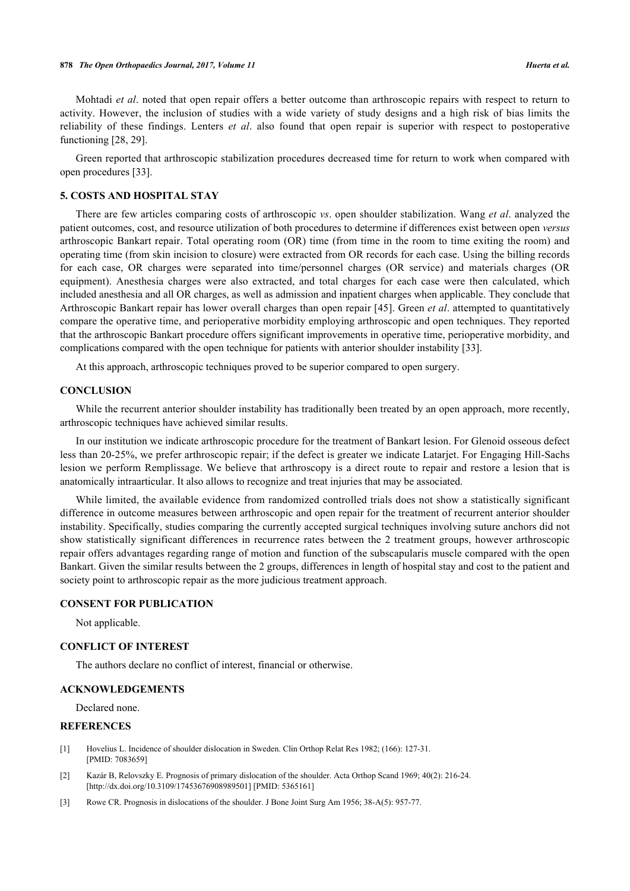Mohtadi *et al*. noted that open repair offers a better outcome than arthroscopic repairs with respect to return to activity. However, the inclusion of studies with a wide variety of study designs and a high risk of bias limits the reliability of these findings. Lenters *et al*. also found that open repair is superior with respect to postoperative functioning [[28,](#page-5-1) [29\]](#page-5-2).

Green reported that arthroscopic stabilization procedures decreased time for return to work when compared with open procedures [\[33](#page-5-6)].

### **5. COSTS AND HOSPITAL STAY**

There are few articles comparing costs of arthroscopic *vs*. open shoulder stabilization. Wang *et al*. analyzed the patient outcomes, cost, and resource utilization of both procedures to determine if differences exist between open *versus* arthroscopic Bankart repair. Total operating room (OR) time (from time in the room to time exiting the room) and operating time (from skin incision to closure) were extracted from OR records for each case. Using the billing records for each case, OR charges were separated into time/personnel charges (OR service) and materials charges (OR equipment). Anesthesia charges were also extracted, and total charges for each case were then calculated, which included anesthesia and all OR charges, as well as admission and inpatient charges when applicable. They conclude that Arthroscopic Bankart repair has lower overall charges than open repair [\[45](#page-6-0)]. Green *et al*. attempted to quantitatively compare the operative time, and perioperative morbidity employing arthroscopic and open techniques. They reported that the arthroscopic Bankart procedure offers significant improvements in operative time, perioperative morbidity, and complications compared with the open technique for patients with anterior shoulder instability [[33\]](#page-5-6).

At this approach, arthroscopic techniques proved to be superior compared to open surgery.

### **CONCLUSION**

While the recurrent anterior shoulder instability has traditionally been treated by an open approach, more recently, arthroscopic techniques have achieved similar results.

In our institution we indicate arthroscopic procedure for the treatment of Bankart lesion. For Glenoid osseous defect less than 20-25%, we prefer arthroscopic repair; if the defect is greater we indicate Latarjet. For Engaging Hill-Sachs lesion we perform Remplissage. We believe that arthroscopy is a direct route to repair and restore a lesion that is anatomically intraarticular. It also allows to recognize and treat injuries that may be associated.

While limited, the available evidence from randomized controlled trials does not show a statistically significant difference in outcome measures between arthroscopic and open repair for the treatment of recurrent anterior shoulder instability. Specifically, studies comparing the currently accepted surgical techniques involving suture anchors did not show statistically significant differences in recurrence rates between the 2 treatment groups, however arthroscopic repair offers advantages regarding range of motion and function of the subscapularis muscle compared with the open Bankart. Given the similar results between the 2 groups, differences in length of hospital stay and cost to the patient and society point to arthroscopic repair as the more judicious treatment approach.

### **CONSENT FOR PUBLICATION**

Not applicable.

### **CONFLICT OF INTEREST**

The authors declare no conflict of interest, financial or otherwise.

### **ACKNOWLEDGEMENTS**

Declared none.

### **REFERENCES**

- <span id="page-3-0"></span>[1] Hovelius L. Incidence of shoulder dislocation in Sweden. Clin Orthop Relat Res 1982; (166): 127-31. [PMID: [7083659\]](http://www.ncbi.nlm.nih.gov/pubmed/7083659)
- <span id="page-3-1"></span>[2] Kazár B, Relovszky E. Prognosis of primary dislocation of the shoulder. Acta Orthop Scand 1969; 40(2): 216-24. [\[http://dx.doi.org/10.3109/17453676908989501\]](http://dx.doi.org/10.3109/17453676908989501) [PMID: [5365161](http://www.ncbi.nlm.nih.gov/pubmed/5365161)]
- <span id="page-3-2"></span>[3] Rowe CR. Prognosis in dislocations of the shoulder. J Bone Joint Surg Am 1956; 38-A(5): 957-77.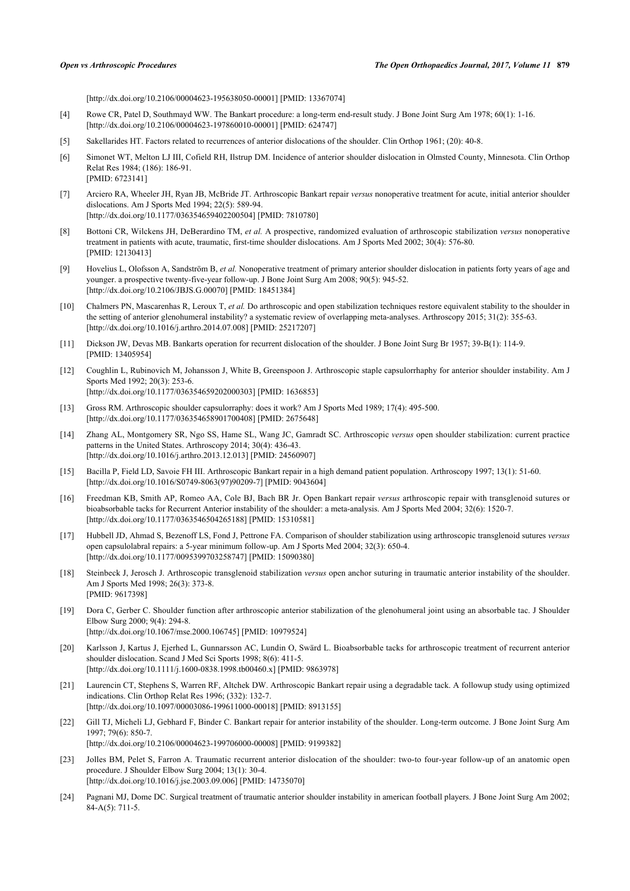[\[http://dx.doi.org/10.2106/00004623-195638050-00001](http://dx.doi.org/10.2106/00004623-195638050-00001)] [PMID: [13367074\]](http://www.ncbi.nlm.nih.gov/pubmed/13367074)

- <span id="page-4-15"></span>[4] Rowe CR, Patel D, Southmayd WW. The Bankart procedure: a long-term end-result study. J Bone Joint Surg Am 1978; 60(1): 1-16. [\[http://dx.doi.org/10.2106/00004623-197860010-00001](http://dx.doi.org/10.2106/00004623-197860010-00001)] [PMID: [624747\]](http://www.ncbi.nlm.nih.gov/pubmed/624747)
- [5] Sakellarides HT. Factors related to recurrences of anterior dislocations of the shoulder. Clin Orthop 1961; (20): 40-8.
- <span id="page-4-0"></span>[6] Simonet WT, Melton LJ III, Cofield RH, Ilstrup DM. Incidence of anterior shoulder dislocation in Olmsted County, Minnesota. Clin Orthop Relat Res 1984; (186): 186-91. [PMID: [6723141\]](http://www.ncbi.nlm.nih.gov/pubmed/6723141)
- <span id="page-4-1"></span>[7] Arciero RA, Wheeler JH, Ryan JB, McBride JT. Arthroscopic Bankart repair *versus* nonoperative treatment for acute, initial anterior shoulder dislocations. Am J Sports Med 1994; 22(5): 589-94. [\[http://dx.doi.org/10.1177/036354659402200504\]](http://dx.doi.org/10.1177/036354659402200504) [PMID: [7810780](http://www.ncbi.nlm.nih.gov/pubmed/7810780)]
- <span id="page-4-4"></span>[8] Bottoni CR, Wilckens JH, DeBerardino TM, *et al.* A prospective, randomized evaluation of arthroscopic stabilization *versus* nonoperative treatment in patients with acute, traumatic, first-time shoulder dislocations. Am J Sports Med 2002; 30(4): 576-80. [PMID: [12130413\]](http://www.ncbi.nlm.nih.gov/pubmed/12130413)
- <span id="page-4-2"></span>[9] Hovelius L, Olofsson A, Sandström B, *et al.* Nonoperative treatment of primary anterior shoulder dislocation in patients forty years of age and younger. a prospective twenty-five-year follow-up. J Bone Joint Surg Am 2008; 90(5): 945-52. [\[http://dx.doi.org/10.2106/JBJS.G.00070\]](http://dx.doi.org/10.2106/JBJS.G.00070) [PMID: [18451384](http://www.ncbi.nlm.nih.gov/pubmed/18451384)]
- <span id="page-4-3"></span>[10] Chalmers PN, Mascarenhas R, Leroux T, *et al.* Do arthroscopic and open stabilization techniques restore equivalent stability to the shoulder in the setting of anterior glenohumeral instability? a systematic review of overlapping meta-analyses. Arthroscopy 2015; 31(2): 355-63. [\[http://dx.doi.org/10.1016/j.arthro.2014.07.008](http://dx.doi.org/10.1016/j.arthro.2014.07.008)] [PMID: [25217207\]](http://www.ncbi.nlm.nih.gov/pubmed/25217207)
- <span id="page-4-5"></span>[11] Dickson JW, Devas MB. Bankarts operation for recurrent dislocation of the shoulder. J Bone Joint Surg Br 1957; 39-B(1): 114-9. [PMID: [13405954\]](http://www.ncbi.nlm.nih.gov/pubmed/13405954)
- <span id="page-4-6"></span>[12] Coughlin L, Rubinovich M, Johansson J, White B, Greenspoon J. Arthroscopic staple capsulorrhaphy for anterior shoulder instability. Am J Sports Med 1992; 20(3): 253-6. [\[http://dx.doi.org/10.1177/036354659202000303\]](http://dx.doi.org/10.1177/036354659202000303) [PMID: [1636853](http://www.ncbi.nlm.nih.gov/pubmed/1636853)]
- <span id="page-4-7"></span>[13] Gross RM. Arthroscopic shoulder capsulorraphy: does it work? Am J Sports Med 1989; 17(4): 495-500. [\[http://dx.doi.org/10.1177/036354658901700408\]](http://dx.doi.org/10.1177/036354658901700408) [PMID: [2675648](http://www.ncbi.nlm.nih.gov/pubmed/2675648)]
- <span id="page-4-8"></span>[14] Zhang AL, Montgomery SR, Ngo SS, Hame SL, Wang JC, Gamradt SC. Arthroscopic *versus* open shoulder stabilization: current practice patterns in the United States. Arthroscopy 2014; 30(4): 436-43. [\[http://dx.doi.org/10.1016/j.arthro.2013.12.013](http://dx.doi.org/10.1016/j.arthro.2013.12.013)] [PMID: [24560907\]](http://www.ncbi.nlm.nih.gov/pubmed/24560907)
- <span id="page-4-9"></span>[15] Bacilla P, Field LD, Savoie FH III. Arthroscopic Bankart repair in a high demand patient population. Arthroscopy 1997; 13(1): 51-60. [\[http://dx.doi.org/10.1016/S0749-8063\(97\)90209-7\]](http://dx.doi.org/10.1016/S0749-8063(97)90209-7) [PMID: [9043604](http://www.ncbi.nlm.nih.gov/pubmed/9043604)]
- <span id="page-4-11"></span>[16] Freedman KB, Smith AP, Romeo AA, Cole BJ, Bach BR Jr. Open Bankart repair *versus* arthroscopic repair with transglenoid sutures or bioabsorbable tacks for Recurrent Anterior instability of the shoulder: a meta-analysis. Am J Sports Med 2004; 32(6): 1520-7. [\[http://dx.doi.org/10.1177/0363546504265188\]](http://dx.doi.org/10.1177/0363546504265188) [PMID: [15310581](http://www.ncbi.nlm.nih.gov/pubmed/15310581)]
- [17] Hubbell JD, Ahmad S, Bezenoff LS, Fond J, Pettrone FA. Comparison of shoulder stabilization using arthroscopic transglenoid sutures *versus* open capsulolabral repairs: a 5-year minimum follow-up. Am J Sports Med 2004; 32(3): 650-4. [\[http://dx.doi.org/10.1177/0095399703258747\]](http://dx.doi.org/10.1177/0095399703258747) [PMID: [15090380](http://www.ncbi.nlm.nih.gov/pubmed/15090380)]
- <span id="page-4-10"></span>[18] Steinbeck J, Jerosch J. Arthroscopic transglenoid stabilization *versus* open anchor suturing in traumatic anterior instability of the shoulder. Am J Sports Med 1998; 26(3): 373-8. [PMID: [9617398\]](http://www.ncbi.nlm.nih.gov/pubmed/9617398)
- <span id="page-4-12"></span>[19] Dora C, Gerber C. Shoulder function after arthroscopic anterior stabilization of the glenohumeral joint using an absorbable tac. J Shoulder Elbow Surg 2000; 9(4): 294-8. [\[http://dx.doi.org/10.1067/mse.2000.106745\]](http://dx.doi.org/10.1067/mse.2000.106745) [PMID: [10979524](http://www.ncbi.nlm.nih.gov/pubmed/10979524)]
- [20] Karlsson J, Kartus J, Ejerhed L, Gunnarsson AC, Lundin O, Swärd L. Bioabsorbable tacks for arthroscopic treatment of recurrent anterior shoulder dislocation. Scand J Med Sci Sports 1998; 8(6): 411-5. [\[http://dx.doi.org/10.1111/j.1600-0838.1998.tb00460.x\]](http://dx.doi.org/10.1111/j.1600-0838.1998.tb00460.x) [PMID: [9863978](http://www.ncbi.nlm.nih.gov/pubmed/9863978)]
- <span id="page-4-13"></span>[21] Laurencin CT, Stephens S, Warren RF, Altchek DW. Arthroscopic Bankart repair using a degradable tack. A followup study using optimized indications. Clin Orthop Relat Res 1996; (332): 132-7. [\[http://dx.doi.org/10.1097/00003086-199611000-00018](http://dx.doi.org/10.1097/00003086-199611000-00018)] [PMID: [8913155\]](http://www.ncbi.nlm.nih.gov/pubmed/8913155)
- <span id="page-4-14"></span>[22] Gill TJ, Micheli LJ, Gebhard F, Binder C. Bankart repair for anterior instability of the shoulder. Long-term outcome. J Bone Joint Surg Am 1997; 79(6): 850-7.
	- [\[http://dx.doi.org/10.2106/00004623-199706000-00008](http://dx.doi.org/10.2106/00004623-199706000-00008)] [PMID: [9199382\]](http://www.ncbi.nlm.nih.gov/pubmed/9199382)
- [23] Jolles BM, Pelet S, Farron A. Traumatic recurrent anterior dislocation of the shoulder: two-to four-year follow-up of an anatomic open procedure. J Shoulder Elbow Surg 2004; 13(1): 30-4. [\[http://dx.doi.org/10.1016/j.jse.2003.09.006\]](http://dx.doi.org/10.1016/j.jse.2003.09.006) [PMID: [14735070](http://www.ncbi.nlm.nih.gov/pubmed/14735070)]
- [24] Pagnani MJ, Dome DC. Surgical treatment of traumatic anterior shoulder instability in american football players. J Bone Joint Surg Am 2002; 84-A(5): 711-5.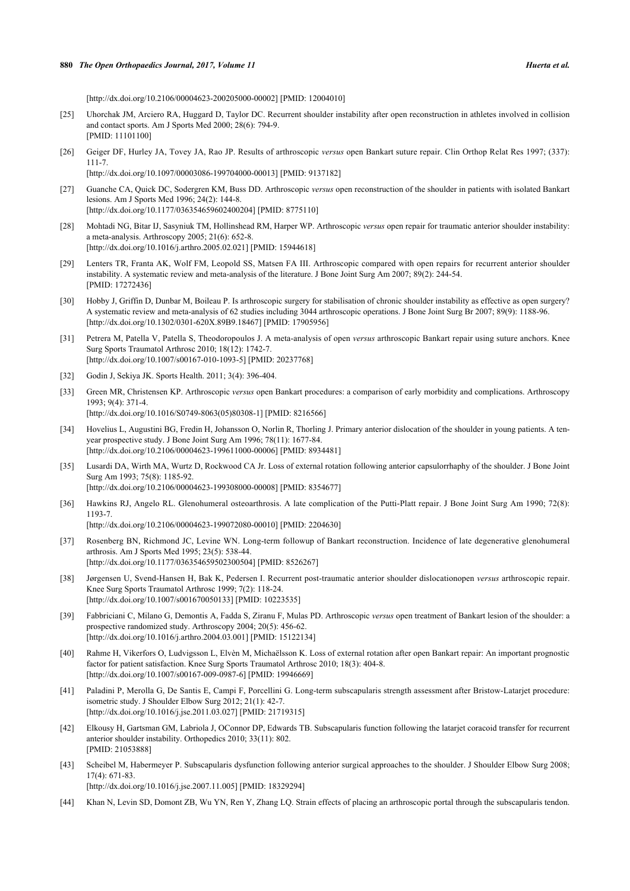[\[http://dx.doi.org/10.2106/00004623-200205000-00002](http://dx.doi.org/10.2106/00004623-200205000-00002)] [PMID: [12004010\]](http://www.ncbi.nlm.nih.gov/pubmed/12004010)

- [25] Uhorchak JM, Arciero RA, Huggard D, Taylor DC. Recurrent shoulder instability after open reconstruction in athletes involved in collision and contact sports. Am J Sports Med 2000; 28(6): 794-9. [PMID: [11101100\]](http://www.ncbi.nlm.nih.gov/pubmed/11101100)
- [26] Geiger DF, Hurley JA, Tovey JA, Rao JP. Results of arthroscopic *versus* open Bankart suture repair. Clin Orthop Relat Res 1997; (337): 111-7.
	- [\[http://dx.doi.org/10.1097/00003086-199704000-00013](http://dx.doi.org/10.1097/00003086-199704000-00013)] [PMID: [9137182\]](http://www.ncbi.nlm.nih.gov/pubmed/9137182)
- <span id="page-5-0"></span>[27] Guanche CA, Quick DC, Sodergren KM, Buss DD. Arthroscopic *versus* open reconstruction of the shoulder in patients with isolated Bankart lesions. Am J Sports Med 1996; 24(2): 144-8. [\[http://dx.doi.org/10.1177/036354659602400204\]](http://dx.doi.org/10.1177/036354659602400204) [PMID: [8775110](http://www.ncbi.nlm.nih.gov/pubmed/8775110)]
- <span id="page-5-1"></span>[28] Mohtadi NG, Bitar IJ, Sasyniuk TM, Hollinshead RM, Harper WP. Arthroscopic *versus* open repair for traumatic anterior shoulder instability: a meta-analysis. Arthroscopy 2005; 21(6): 652-8. [\[http://dx.doi.org/10.1016/j.arthro.2005.02.021](http://dx.doi.org/10.1016/j.arthro.2005.02.021)] [PMID: [15944618\]](http://www.ncbi.nlm.nih.gov/pubmed/15944618)
- <span id="page-5-2"></span>[29] Lenters TR, Franta AK, Wolf FM, Leopold SS, Matsen FA III. Arthroscopic compared with open repairs for recurrent anterior shoulder instability. A systematic review and meta-analysis of the literature. J Bone Joint Surg Am 2007; 89(2): 244-54. [PMID: [17272436\]](http://www.ncbi.nlm.nih.gov/pubmed/17272436)
- <span id="page-5-3"></span>[30] Hobby J, Griffin D, Dunbar M, Boileau P. Is arthroscopic surgery for stabilisation of chronic shoulder instability as effective as open surgery? A systematic review and meta-analysis of 62 studies including 3044 arthroscopic operations. J Bone Joint Surg Br 2007; 89(9): 1188-96. [\[http://dx.doi.org/10.1302/0301-620X.89B9.18467\]](http://dx.doi.org/10.1302/0301-620X.89B9.18467) [PMID: [17905956](http://www.ncbi.nlm.nih.gov/pubmed/17905956)]
- <span id="page-5-4"></span>[31] Petrera M, Patella V, Patella S, Theodoropoulos J. A meta-analysis of open *versus* arthroscopic Bankart repair using suture anchors. Knee Surg Sports Traumatol Arthrosc 2010; 18(12): 1742-7. [\[http://dx.doi.org/10.1007/s00167-010-1093-5\]](http://dx.doi.org/10.1007/s00167-010-1093-5) [PMID: [20237768](http://www.ncbi.nlm.nih.gov/pubmed/20237768)]
- <span id="page-5-5"></span>[32] Godin J, Sekiya JK. Sports Health. 2011; 3(4): 396-404.
- <span id="page-5-6"></span>[33] Green MR, Christensen KP. Arthroscopic *versus* open Bankart procedures: a comparison of early morbidity and complications. Arthroscopy 1993; 9(4): 371-4. [\[http://dx.doi.org/10.1016/S0749-8063\(05\)80308-1\]](http://dx.doi.org/10.1016/S0749-8063(05)80308-1) [PMID: [8216566](http://www.ncbi.nlm.nih.gov/pubmed/8216566)]
- <span id="page-5-8"></span>[34] Hovelius L, Augustini BG, Fredin H, Johansson O, Norlin R, Thorling J. Primary anterior dislocation of the shoulder in young patients. A tenyear prospective study. J Bone Joint Surg Am 1996; 78(11): 1677-84. [\[http://dx.doi.org/10.2106/00004623-199611000-00006](http://dx.doi.org/10.2106/00004623-199611000-00006)] [PMID: [8934481\]](http://www.ncbi.nlm.nih.gov/pubmed/8934481)
- [35] Lusardi DA, Wirth MA, Wurtz D, Rockwood CA Jr. Loss of external rotation following anterior capsulorrhaphy of the shoulder. J Bone Joint Surg Am 1993; 75(8): 1185-92. [\[http://dx.doi.org/10.2106/00004623-199308000-00008](http://dx.doi.org/10.2106/00004623-199308000-00008)] [PMID: [8354677\]](http://www.ncbi.nlm.nih.gov/pubmed/8354677)
- [36] Hawkins RJ, Angelo RL. Glenohumeral osteoarthrosis. A late complication of the Putti-Platt repair. J Bone Joint Surg Am 1990; 72(8): 1193-7.
	- [\[http://dx.doi.org/10.2106/00004623-199072080-00010](http://dx.doi.org/10.2106/00004623-199072080-00010)] [PMID: [2204630\]](http://www.ncbi.nlm.nih.gov/pubmed/2204630)
- <span id="page-5-9"></span>[37] Rosenberg BN, Richmond JC, Levine WN. Long-term followup of Bankart reconstruction. Incidence of late degenerative glenohumeral arthrosis. Am J Sports Med 1995; 23(5): 538-44. [\[http://dx.doi.org/10.1177/036354659502300504\]](http://dx.doi.org/10.1177/036354659502300504) [PMID: [8526267](http://www.ncbi.nlm.nih.gov/pubmed/8526267)]
- <span id="page-5-10"></span>[38] Jørgensen U, Svend-Hansen H, Bak K, Pedersen I. Recurrent post-traumatic anterior shoulder dislocationopen *versus* arthroscopic repair. Knee Surg Sports Traumatol Arthrosc 1999; 7(2): 118-24. [\[http://dx.doi.org/10.1007/s001670050133\]](http://dx.doi.org/10.1007/s001670050133) [PMID: [10223535](http://www.ncbi.nlm.nih.gov/pubmed/10223535)]
- <span id="page-5-7"></span>[39] Fabbriciani C, Milano G, Demontis A, Fadda S, Ziranu F, Mulas PD. Arthroscopic *versus* open treatment of Bankart lesion of the shoulder: a prospective randomized study. Arthroscopy 2004; 20(5): 456-62. [\[http://dx.doi.org/10.1016/j.arthro.2004.03.001](http://dx.doi.org/10.1016/j.arthro.2004.03.001)] [PMID: [15122134\]](http://www.ncbi.nlm.nih.gov/pubmed/15122134)
- <span id="page-5-11"></span>[40] Rahme H, Vikerfors O, Ludvigsson L, Elvèn M, Michaëlsson K. Loss of external rotation after open Bankart repair: An important prognostic factor for patient satisfaction. Knee Surg Sports Traumatol Arthrosc 2010; 18(3): 404-8. [\[http://dx.doi.org/10.1007/s00167-009-0987-6\]](http://dx.doi.org/10.1007/s00167-009-0987-6) [PMID: [19946669](http://www.ncbi.nlm.nih.gov/pubmed/19946669)]
- <span id="page-5-12"></span>[41] Paladini P, Merolla G, De Santis E, Campi F, Porcellini G. Long-term subscapularis strength assessment after Bristow-Latarjet procedure: isometric study. J Shoulder Elbow Surg 2012; 21(1): 42-7. [\[http://dx.doi.org/10.1016/j.jse.2011.03.027\]](http://dx.doi.org/10.1016/j.jse.2011.03.027) [PMID: [21719315](http://www.ncbi.nlm.nih.gov/pubmed/21719315)]
- [42] Elkousy H, Gartsman GM, Labriola J, OConnor DP, Edwards TB. Subscapularis function following the latarjet coracoid transfer for recurrent anterior shoulder instability. Orthopedics 2010; 33(11): 802. [PMID: [21053888\]](http://www.ncbi.nlm.nih.gov/pubmed/21053888)
- <span id="page-5-13"></span>[43] Scheibel M, Habermeyer P. Subscapularis dysfunction following anterior surgical approaches to the shoulder. J Shoulder Elbow Surg 2008; 17(4): 671-83.
	- [\[http://dx.doi.org/10.1016/j.jse.2007.11.005\]](http://dx.doi.org/10.1016/j.jse.2007.11.005) [PMID: [18329294](http://www.ncbi.nlm.nih.gov/pubmed/18329294)]
- <span id="page-5-14"></span>[44] Khan N, Levin SD, Domont ZB, Wu YN, Ren Y, Zhang LQ. Strain effects of placing an arthroscopic portal through the subscapularis tendon.